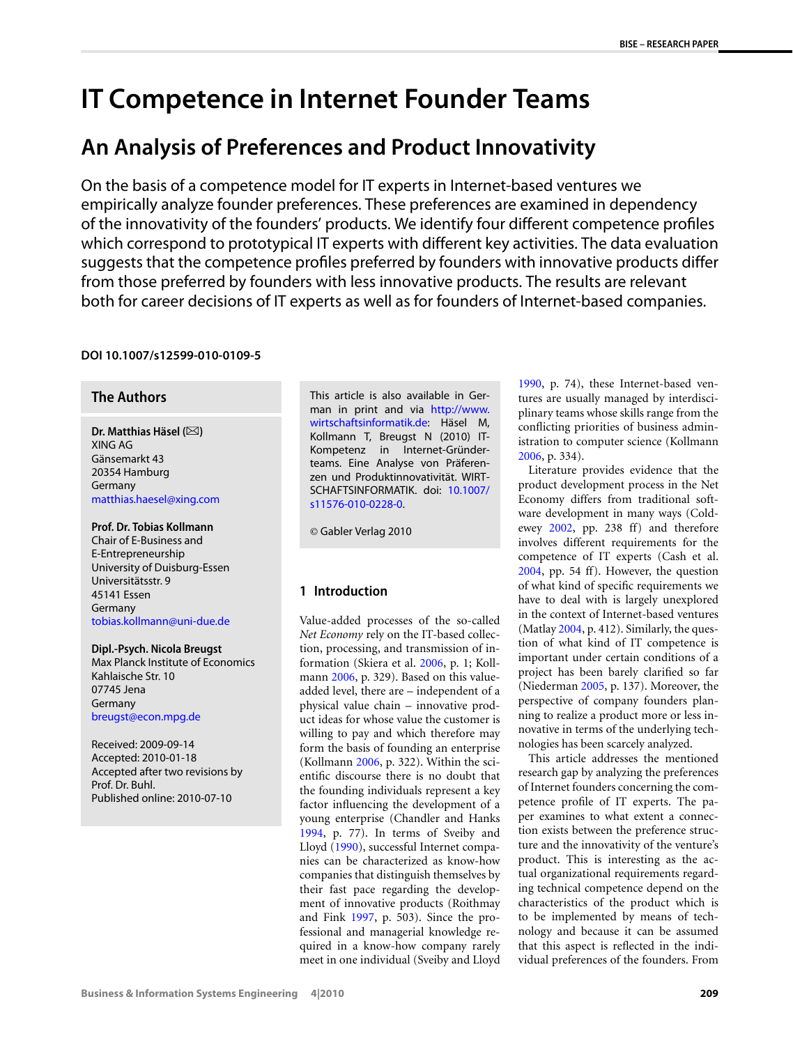# **IT Competence in Internet Founder Teams**

## **An Analysis of Preferences and Product Innovativity**

On the basis of a competence model for IT experts in Internet-based ventures we empirically analyze founder preferences. These preferences are examined in dependency of the innovativity of the founders' products. We identify four different competence profiles which correspond to prototypical IT experts with different key activities. The data evaluation suggests that the competence profiles preferred by founders with innovative products differ from those preferred by founders with less innovative products. The results are relevant both for career decisions of IT experts as well as for founders of Internet-based companies.

## **DOI 10.1007/s12599-010-0109-5**

## **The Authors**

**Dr. Matthias Häsel (**-**)** XING AG Gänsemarkt 43 20354 Hamburg Germany [matthias.haesel@xing.com](mailto:matthias.haesel@xing.com)

#### **Prof. Dr. Tobias Kollmann**

Chair of E-Business and E-Entrepreneurship University of Duisburg-Essen Universitätsstr. 9 45141 Essen Germany [tobias.kollmann@uni-due.de](mailto:tobias.kollmann@uni-due.de)

#### **Dipl.-Psych. Nicola Breugst**

Max Planck Institute of Economics Kahlaische Str. 10 07745 Jena Germany [breugst@econ.mpg.de](mailto:breugst@econ.mpg.de)

Received: 2009-09-14 Accepted: 2010-01-18 Accepted after two revisions by Prof. Dr. Buhl. Published online: 2010-07-10

This article is also available in German in print and via [http://www.](http://www.wirtschaftsinformatik.de) [wirtschaftsinformatik.de:](http://www.wirtschaftsinformatik.de) Häsel M, Kollmann T, Breugst N (2010) IT-Kompetenz in Internet-Gründerteams. Eine Analyse von Präferenzen und Produktinnovativität. WIRT-SCHAFTSINFORMATIK. doi: [10.1007/](http://dx.doi.org/10.1007/s11576-010-0228-0) [s11576-010-0228-0](http://dx.doi.org/10.1007/s11576-010-0228-0).

© Gabler Verlag 2010

## **1 Introduction**

Value-added processes of the so-called *Net Economy* rely on the IT-based collection, processing, and transmission of information (Skiera et al. [2006](#page-8-0), p. 1; Kollmann [2006,](#page-7-0) p. 329). Based on this valueadded level, there are – independent of a physical value chain – innovative product ideas for whose value the customer is willing to pay and which therefore may form the basis of founding an enterprise (Kollmann [2006,](#page-7-0) p. 322). Within the scientific discourse there is no doubt that the founding individuals represent a key factor influencing the development of a young enterprise (Chandler and Hanks [1994](#page-7-0), p. 77). In terms of Sveiby and Lloyd [\(1990](#page-8-0)), successful Internet companies can be characterized as know-how companies that distinguish themselves by their fast pace regarding the development of innovative products (Roithmay and Fink [1997,](#page-7-0) p. 503). Since the professional and managerial knowledge required in a know-how company rarely meet in one individual (Sveiby and Lloyd

[1990](#page-8-0), p. 74), these Internet-based ventures are usually managed by interdisciplinary teams whose skills range from the conflicting priorities of business administration to computer science (Kollmann [2006](#page-7-0), p. 334).

Literature provides evidence that the product development process in the Net Economy differs from traditional software development in many ways (Coldewey [2002](#page-7-0), pp. 238 ff) and therefore involves different requirements for the competence of IT experts (Cash et al. [2004](#page-7-0), pp. 54 ff). However, the question of what kind of specific requirements we have to deal with is largely unexplored in the context of Internet-based ventures (Matlay [2004](#page-7-0), p. 412). Similarly, the question of what kind of IT competence is important under certain conditions of a project has been barely clarified so far (Niederman [2005,](#page-7-0) p. 137). Moreover, the perspective of company founders planning to realize a product more or less innovative in terms of the underlying technologies has been scarcely analyzed.

This article addresses the mentioned research gap by analyzing the preferences of Internet founders concerning the competence profile of IT experts. The paper examines to what extent a connection exists between the preference structure and the innovativity of the venture's product. This is interesting as the actual organizational requirements regarding technical competence depend on the characteristics of the product which is to be implemented by means of technology and because it can be assumed that this aspect is reflected in the individual preferences of the founders. From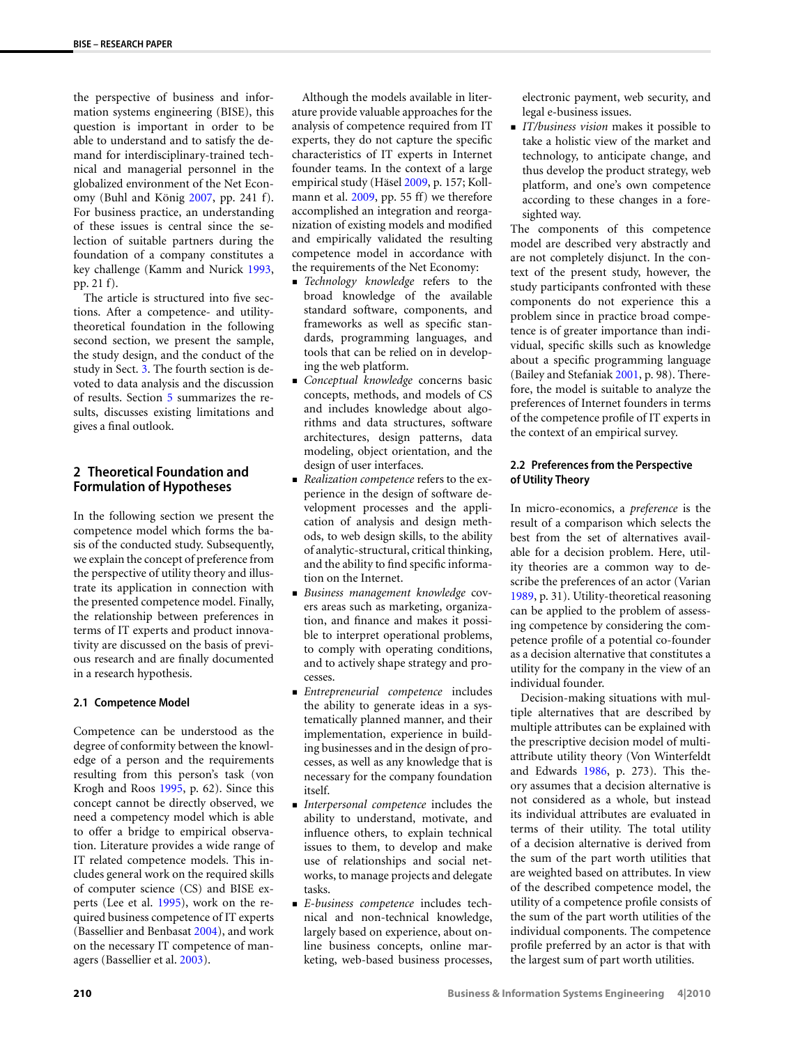the perspective of business and information systems engineering (BISE), this question is important in order to be able to understand and to satisfy the demand for interdisciplinary-trained technical and managerial personnel in the globalized environment of the Net Economy (Buhl and König [2007](#page-7-0), pp. 241 f). For business practice, an understanding of these issues is central since the selection of suitable partners during the foundation of a company constitutes a key challenge (Kamm and Nurick [1993,](#page-7-0) pp. 21 f).

The article is structured into five sections. After a competence- and utilitytheoretical foundation in the following second section, we present the sample, the study design, and the conduct of the study in Sect. [3](#page-2-0). The fourth section is devoted to data analysis and the discussion of results. Section [5](#page-6-0) summarizes the results, discusses existing limitations and gives a final outlook.

#### **2 Theoretical Foundation and Formulation of Hypotheses**

In the following section we present the competence model which forms the basis of the conducted study. Subsequently, we explain the concept of preference from the perspective of utility theory and illustrate its application in connection with the presented competence model. Finally, the relationship between preferences in terms of IT experts and product innovativity are discussed on the basis of previous research and are finally documented in a research hypothesis.

#### **2.1 Competence Model**

Competence can be understood as the degree of conformity between the knowledge of a person and the requirements resulting from this person's task (von Krogh and Roos [1995](#page-8-0), p. 62). Since this concept cannot be directly observed, we need a competency model which is able to offer a bridge to empirical observation. Literature provides a wide range of IT related competence models. This includes general work on the required skills of computer science (CS) and BISE experts (Lee et al. [1995](#page-7-0)), work on the required business competence of IT experts (Bassellier and Benbasat [2004](#page-7-0)), and work on the necessary IT competence of managers (Bassellier et al. [2003](#page-7-0)).

Although the models available in literature provide valuable approaches for the analysis of competence required from IT experts, they do not capture the specific characteristics of IT experts in Internet founder teams. In the context of a large empirical study (Häsel [2009,](#page-7-0) p. 157; Kollmann et al. [2009](#page-7-0), pp. 55 ff) we therefore accomplished an integration and reorganization of existing models and modified and empirically validated the resulting competence model in accordance with the requirements of the Net Economy:

- *Technology knowledge* refers to the broad knowledge of the available standard software, components, and frameworks as well as specific standards, programming languages, and tools that can be relied on in developing the web platform.
- *Conceptual knowledge* concerns basic concepts, methods, and models of CS and includes knowledge about algorithms and data structures, software architectures, design patterns, data modeling, object orientation, and the design of user interfaces.
- *Realization competence* refers to the experience in the design of software development processes and the application of analysis and design methods, to web design skills, to the ability of analytic-structural, critical thinking, and the ability to find specific information on the Internet.
- *Business management knowledge* covers areas such as marketing, organization, and finance and makes it possible to interpret operational problems, to comply with operating conditions, and to actively shape strategy and processes.
- *Entrepreneurial competence* includes the ability to generate ideas in a systematically planned manner, and their implementation, experience in building businesses and in the design of processes, as well as any knowledge that is necessary for the company foundation itself.
- *Interpersonal competence* includes the ability to understand, motivate, and influence others, to explain technical issues to them, to develop and make use of relationships and social networks, to manage projects and delegate tasks.
- *E-business competence* includes technical and non-technical knowledge, largely based on experience, about online business concepts, online marketing, web-based business processes,

electronic payment, web security, and legal e-business issues.

- *IT/business vision* makes it possible to take a holistic view of the market and technology, to anticipate change, and thus develop the product strategy, web platform, and one's own competence according to these changes in a foresighted way.

The components of this competence model are described very abstractly and are not completely disjunct. In the context of the present study, however, the study participants confronted with these components do not experience this a problem since in practice broad competence is of greater importance than individual, specific skills such as knowledge about a specific programming language (Bailey and Stefaniak [2001](#page-7-0), p. 98). Therefore, the model is suitable to analyze the preferences of Internet founders in terms of the competence profile of IT experts in the context of an empirical survey.

#### **2.2 Preferences from the Perspective of Utility Theory**

In micro-economics, a *preference* is the result of a comparison which selects the best from the set of alternatives available for a decision problem. Here, utility theories are a common way to describe the preferences of an actor (Varian [1989](#page-8-0), p. 31). Utility-theoretical reasoning can be applied to the problem of assessing competence by considering the competence profile of a potential co-founder as a decision alternative that constitutes a utility for the company in the view of an individual founder.

Decision-making situations with multiple alternatives that are described by multiple attributes can be explained with the prescriptive decision model of multiattribute utility theory (Von Winterfeldt and Edwards [1986,](#page-8-0) p. 273). This theory assumes that a decision alternative is not considered as a whole, but instead its individual attributes are evaluated in terms of their utility. The total utility of a decision alternative is derived from the sum of the part worth utilities that are weighted based on attributes. In view of the described competence model, the utility of a competence profile consists of the sum of the part worth utilities of the individual components. The competence profile preferred by an actor is that with the largest sum of part worth utilities.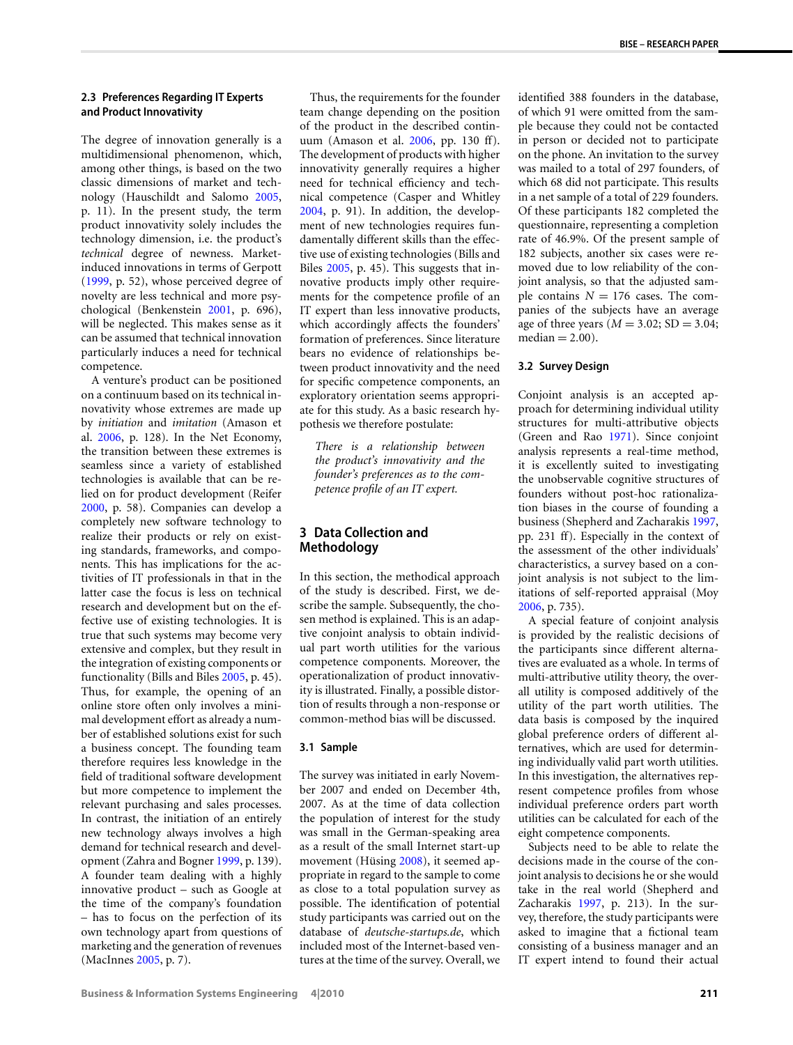#### <span id="page-2-0"></span>**2.3 Preferences Regarding IT Experts and Product Innovativity**

The degree of innovation generally is a multidimensional phenomenon, which, among other things, is based on the two classic dimensions of market and technology (Hauschildt and Salomo [2005,](#page-7-0) p. 11). In the present study, the term product innovativity solely includes the technology dimension, i.e. the product's *technical* degree of newness. Marketinduced innovations in terms of Gerpott [\(1999](#page-7-0), p. 52), whose perceived degree of novelty are less technical and more psychological (Benkenstein [2001](#page-7-0), p. 696), will be neglected. This makes sense as it can be assumed that technical innovation particularly induces a need for technical competence.

A venture's product can be positioned on a continuum based on its technical innovativity whose extremes are made up by *initiation* and *imitation* (Amason et al. [2006,](#page-7-0) p. 128). In the Net Economy, the transition between these extremes is seamless since a variety of established technologies is available that can be relied on for product development (Reifer [2000,](#page-7-0) p. 58). Companies can develop a completely new software technology to realize their products or rely on existing standards, frameworks, and components. This has implications for the activities of IT professionals in that in the latter case the focus is less on technical research and development but on the effective use of existing technologies. It is true that such systems may become very extensive and complex, but they result in the integration of existing components or functionality (Bills and Biles [2005,](#page-7-0) p. 45). Thus, for example, the opening of an online store often only involves a minimal development effort as already a number of established solutions exist for such a business concept. The founding team therefore requires less knowledge in the field of traditional software development but more competence to implement the relevant purchasing and sales processes. In contrast, the initiation of an entirely new technology always involves a high demand for technical research and development (Zahra and Bogner [1999,](#page-8-0) p. 139). A founder team dealing with a highly innovative product – such as Google at the time of the company's foundation – has to focus on the perfection of its own technology apart from questions of marketing and the generation of revenues (MacInnes [2005,](#page-7-0) p. 7).

Thus, the requirements for the founder team change depending on the position of the product in the described continuum (Amason et al. [2006,](#page-7-0) pp. 130 ff). The development of products with higher innovativity generally requires a higher need for technical efficiency and technical competence (Casper and Whitley [2004](#page-7-0), p. 91). In addition, the development of new technologies requires fundamentally different skills than the effective use of existing technologies (Bills and Biles [2005,](#page-7-0) p. 45). This suggests that innovative products imply other requirements for the competence profile of an IT expert than less innovative products, which accordingly affects the founders' formation of preferences. Since literature bears no evidence of relationships between product innovativity and the need for specific competence components, an exploratory orientation seems appropriate for this study. As a basic research hypothesis we therefore postulate:

*There is a relationship between the product's innovativity and the founder's preferences as to the competence profile of an IT expert.*

#### **3 Data Collection and Methodology**

In this section, the methodical approach of the study is described. First, we describe the sample. Subsequently, the chosen method is explained. This is an adaptive conjoint analysis to obtain individual part worth utilities for the various competence components. Moreover, the operationalization of product innovativity is illustrated. Finally, a possible distortion of results through a non-response or common-method bias will be discussed.

#### **3.1 Sample**

The survey was initiated in early November 2007 and ended on December 4th, 2007. As at the time of data collection the population of interest for the study was small in the German-speaking area as a result of the small Internet start-up movement (Hüsing [2008](#page-7-0)), it seemed appropriate in regard to the sample to come as close to a total population survey as possible. The identification of potential study participants was carried out on the database of *deutsche-startups.de*, which included most of the Internet-based ventures at the time of the survey. Overall, we identified 388 founders in the database, of which 91 were omitted from the sample because they could not be contacted in person or decided not to participate on the phone. An invitation to the survey was mailed to a total of 297 founders, of which 68 did not participate. This results in a net sample of a total of 229 founders. Of these participants 182 completed the questionnaire, representing a completion rate of 46.9%. Of the present sample of 182 subjects, another six cases were removed due to low reliability of the conjoint analysis, so that the adjusted sample contains  $N = 176$  cases. The companies of the subjects have an average age of three years  $(M = 3.02; SD = 3.04;$ median  $= 2.00$ ).

#### **3.2 Survey Design**

Conjoint analysis is an accepted approach for determining individual utility structures for multi-attributive objects (Green and Rao [1971](#page-7-0)). Since conjoint analysis represents a real-time method, it is excellently suited to investigating the unobservable cognitive structures of founders without post-hoc rationalization biases in the course of founding a business (Shepherd and Zacharakis [1997,](#page-8-0) pp. 231 ff). Especially in the context of the assessment of the other individuals' characteristics, a survey based on a conjoint analysis is not subject to the limitations of self-reported appraisal (Moy [2006](#page-7-0), p. 735).

A special feature of conjoint analysis is provided by the realistic decisions of the participants since different alternatives are evaluated as a whole. In terms of multi-attributive utility theory, the overall utility is composed additively of the utility of the part worth utilities. The data basis is composed by the inquired global preference orders of different alternatives, which are used for determining individually valid part worth utilities. In this investigation, the alternatives represent competence profiles from whose individual preference orders part worth utilities can be calculated for each of the eight competence components.

Subjects need to be able to relate the decisions made in the course of the conjoint analysis to decisions he or she would take in the real world (Shepherd and Zacharakis [1997](#page-8-0), p. 213). In the survey, therefore, the study participants were asked to imagine that a fictional team consisting of a business manager and an IT expert intend to found their actual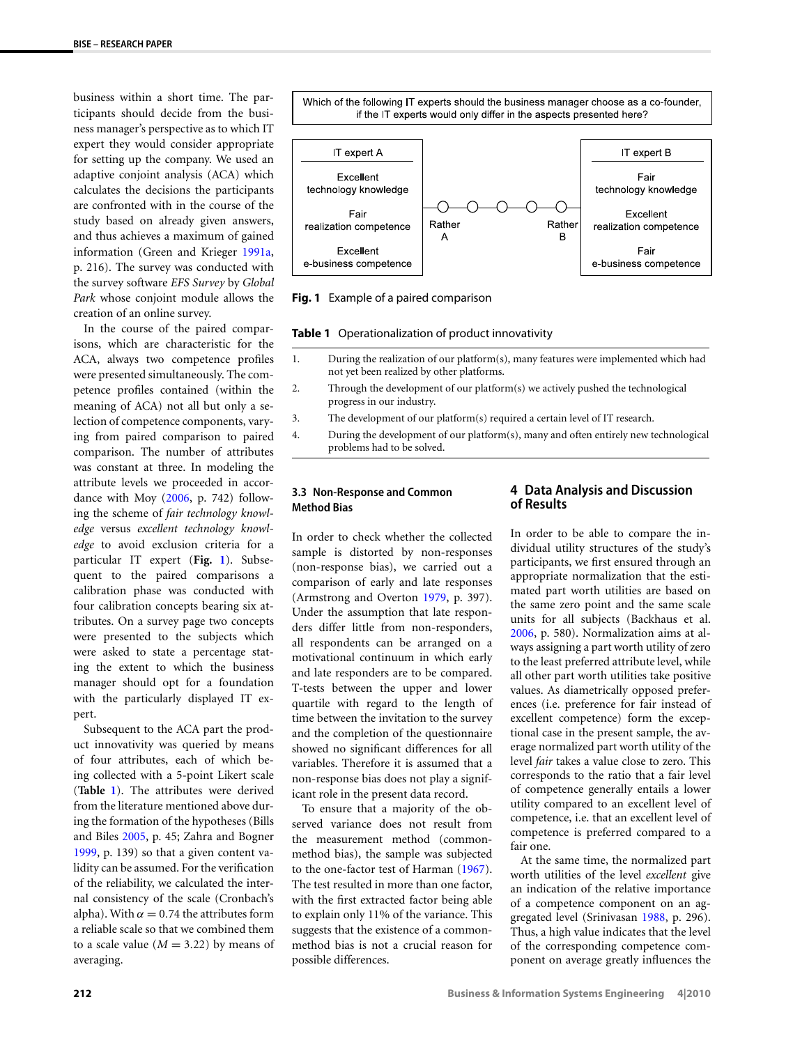business within a short time. The participants should decide from the business manager's perspective as to which IT expert they would consider appropriate for setting up the company. We used an adaptive conjoint analysis (ACA) which calculates the decisions the participants are confronted with in the course of the study based on already given answers, and thus achieves a maximum of gained information (Green and Krieger [1991a,](#page-7-0) p. 216). The survey was conducted with the survey software *EFS Survey* by *Global Park* whose conjoint module allows the creation of an online survey.

In the course of the paired comparisons, which are characteristic for the ACA, always two competence profiles were presented simultaneously. The competence profiles contained (within the meaning of ACA) not all but only a selection of competence components, varying from paired comparison to paired comparison. The number of attributes was constant at three. In modeling the attribute levels we proceeded in accordance with Moy [\(2006,](#page-7-0) p. 742) following the scheme of *fair technology knowledge* versus *excellent technology knowledge* to avoid exclusion criteria for a particular IT expert (**Fig. 1**). Subsequent to the paired comparisons a calibration phase was conducted with four calibration concepts bearing six attributes. On a survey page two concepts were presented to the subjects which were asked to state a percentage stating the extent to which the business manager should opt for a foundation with the particularly displayed IT expert.

Subsequent to the ACA part the product innovativity was queried by means of four attributes, each of which being collected with a 5-point Likert scale (**Table 1**). The attributes were derived from the literature mentioned above during the formation of the hypotheses (Bills and Biles [2005,](#page-7-0) p. 45; Zahra and Bogner [1999](#page-8-0), p. 139) so that a given content validity can be assumed. For the verification of the reliability, we calculated the internal consistency of the scale (Cronbach's alpha). With  $\alpha = 0.74$  the attributes form a reliable scale so that we combined them to a scale value  $(M = 3.22)$  by means of averaging.

Which of the following IT experts should the business manager choose as a co-founder, if the IT experts would only differ in the aspects presented here?



**Fig. 1** Example of a paired comparison



- 1. During the realization of our platform(s), many features were implemented which had not yet been realized by other platforms.
- 2. Through the development of our platform(s) we actively pushed the technological progress in our industry.
- 3. The development of our platform(s) required a certain level of IT research.
- 4. During the development of our platform(s), many and often entirely new technological problems had to be solved.

#### **3.3 Non-Response and Common Method Bias**

In order to check whether the collected sample is distorted by non-responses (non-response bias), we carried out a comparison of early and late responses (Armstrong and Overton [1979](#page-7-0), p. 397). Under the assumption that late responders differ little from non-responders, all respondents can be arranged on a motivational continuum in which early and late responders are to be compared. T-tests between the upper and lower quartile with regard to the length of time between the invitation to the survey and the completion of the questionnaire showed no significant differences for all variables. Therefore it is assumed that a non-response bias does not play a significant role in the present data record.

To ensure that a majority of the observed variance does not result from the measurement method (commonmethod bias), the sample was subjected to the one-factor test of Harman [\(1967](#page-7-0)). The test resulted in more than one factor, with the first extracted factor being able to explain only 11% of the variance. This suggests that the existence of a commonmethod bias is not a crucial reason for possible differences.

#### **4 Data Analysis and Discussion of Results**

In order to be able to compare the individual utility structures of the study's participants, we first ensured through an appropriate normalization that the estimated part worth utilities are based on the same zero point and the same scale units for all subjects (Backhaus et al. [2006](#page-7-0), p. 580). Normalization aims at always assigning a part worth utility of zero to the least preferred attribute level, while all other part worth utilities take positive values. As diametrically opposed preferences (i.e. preference for fair instead of excellent competence) form the exceptional case in the present sample, the average normalized part worth utility of the level *fair* takes a value close to zero. This corresponds to the ratio that a fair level of competence generally entails a lower utility compared to an excellent level of competence, i.e. that an excellent level of competence is preferred compared to a fair one.

At the same time, the normalized part worth utilities of the level *excellent* give an indication of the relative importance of a competence component on an aggregated level (Srinivasan [1988,](#page-8-0) p. 296). Thus, a high value indicates that the level of the corresponding competence component on average greatly influences the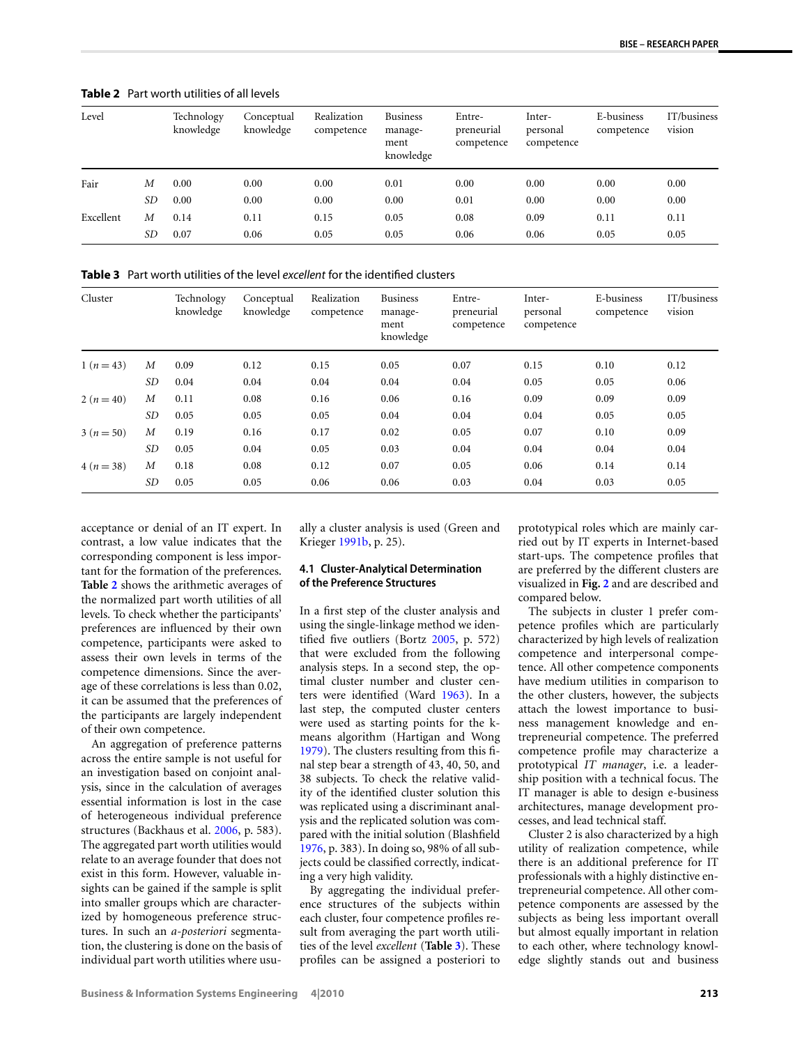**Table 2** Part worth utilities of all levels

| Level     |           | Technology<br>knowledge | Conceptual<br>knowledge | Realization<br>competence | <b>Business</b><br>manage-<br>ment<br>knowledge | Entre-<br>preneurial<br>competence | Inter-<br>personal<br>competence | E-business<br>competence | IT/business<br>vision |
|-----------|-----------|-------------------------|-------------------------|---------------------------|-------------------------------------------------|------------------------------------|----------------------------------|--------------------------|-----------------------|
| Fair      | М         | 0.00                    | 0.00                    | 0.00                      | 0.01                                            | 0.00                               | 0.00                             | 0.00                     | 0.00                  |
|           | SD        | 0.00                    | 0.00                    | 0.00                      | 0.00                                            | 0.01                               | 0.00                             | 0.00                     | 0.00                  |
| Excellent | M         | 0.14                    | 0.11                    | 0.15                      | 0.05                                            | 0.08                               | 0.09                             | 0.11                     | 0.11                  |
|           | <i>SD</i> | 0.07                    | 0.06                    | 0.05                      | 0.05                                            | 0.06                               | 0.06                             | 0.05                     | 0.05                  |

**Table 3** Part worth utilities of the level excellent for the identified clusters

| Cluster   |                  | Technology<br>knowledge | Conceptual<br>knowledge | Realization<br>competence | <b>Business</b><br>manage-<br>ment<br>knowledge | Entre-<br>preneurial<br>competence | Inter-<br>personal<br>competence | E-business<br>competence | IT/business<br>vision |
|-----------|------------------|-------------------------|-------------------------|---------------------------|-------------------------------------------------|------------------------------------|----------------------------------|--------------------------|-----------------------|
| $1(n=43)$ | M                | 0.09                    | 0.12                    | 0.15                      | 0.05                                            | 0.07                               | 0.15                             | 0.10                     | 0.12                  |
|           | <i>SD</i>        | 0.04                    | 0.04                    | 0.04                      | 0.04                                            | 0.04                               | 0.05                             | 0.05                     | 0.06                  |
| $2(n=40)$ | M                | 0.11                    | 0.08                    | 0.16                      | 0.06                                            | 0.16                               | 0.09                             | 0.09                     | 0.09                  |
|           | <i>SD</i>        | 0.05                    | 0.05                    | 0.05                      | 0.04                                            | 0.04                               | 0.04                             | 0.05                     | 0.05                  |
| $3(n=50)$ | M                | 0.19                    | 0.16                    | 0.17                      | 0.02                                            | 0.05                               | 0.07                             | 0.10                     | 0.09                  |
|           | <i>SD</i>        | 0.05                    | 0.04                    | 0.05                      | 0.03                                            | 0.04                               | 0.04                             | 0.04                     | 0.04                  |
| $4(n=38)$ | $\boldsymbol{M}$ | 0.18                    | 0.08                    | 0.12                      | 0.07                                            | 0.05                               | 0.06                             | 0.14                     | 0.14                  |
|           | SD               | 0.05                    | 0.05                    | 0.06                      | 0.06                                            | 0.03                               | 0.04                             | 0.03                     | 0.05                  |

acceptance or denial of an IT expert. In contrast, a low value indicates that the corresponding component is less important for the formation of the preferences. **Table 2** shows the arithmetic averages of the normalized part worth utilities of all levels. To check whether the participants' preferences are influenced by their own competence, participants were asked to assess their own levels in terms of the competence dimensions. Since the average of these correlations is less than 0.02, it can be assumed that the preferences of the participants are largely independent of their own competence.

An aggregation of preference patterns across the entire sample is not useful for an investigation based on conjoint analysis, since in the calculation of averages essential information is lost in the case of heterogeneous individual preference structures (Backhaus et al. [2006](#page-7-0), p. 583). The aggregated part worth utilities would relate to an average founder that does not exist in this form. However, valuable insights can be gained if the sample is split into smaller groups which are characterized by homogeneous preference structures. In such an *a-posteriori* segmentation, the clustering is done on the basis of individual part worth utilities where usually a cluster analysis is used (Green and Krieger [1991b,](#page-7-0) p. 25).

#### **4.1 Cluster-Analytical Determination of the Preference Structures**

In a first step of the cluster analysis and using the single-linkage method we identified five outliers (Bortz [2005](#page-7-0), p. 572) that were excluded from the following analysis steps. In a second step, the optimal cluster number and cluster centers were identified (Ward [1963\)](#page-8-0). In a last step, the computed cluster centers were used as starting points for the kmeans algorithm (Hartigan and Wong [1979](#page-7-0)). The clusters resulting from this final step bear a strength of 43, 40, 50, and 38 subjects. To check the relative validity of the identified cluster solution this was replicated using a discriminant analysis and the replicated solution was compared with the initial solution (Blashfield [1976](#page-7-0), p. 383). In doing so, 98% of all subjects could be classified correctly, indicating a very high validity.

By aggregating the individual preference structures of the subjects within each cluster, four competence profiles result from averaging the part worth utilities of the level *excellent* (**Table 3**). These profiles can be assigned a posteriori to prototypical roles which are mainly carried out by IT experts in Internet-based start-ups. The competence profiles that are preferred by the different clusters are visualized in **Fig. [2](#page-5-0)** and are described and compared below.

The subjects in cluster 1 prefer competence profiles which are particularly characterized by high levels of realization competence and interpersonal competence. All other competence components have medium utilities in comparison to the other clusters, however, the subjects attach the lowest importance to business management knowledge and entrepreneurial competence. The preferred competence profile may characterize a prototypical *IT manager*, i.e. a leadership position with a technical focus. The IT manager is able to design e-business architectures, manage development processes, and lead technical staff.

Cluster 2 is also characterized by a high utility of realization competence, while there is an additional preference for IT professionals with a highly distinctive entrepreneurial competence. All other competence components are assessed by the subjects as being less important overall but almost equally important in relation to each other, where technology knowledge slightly stands out and business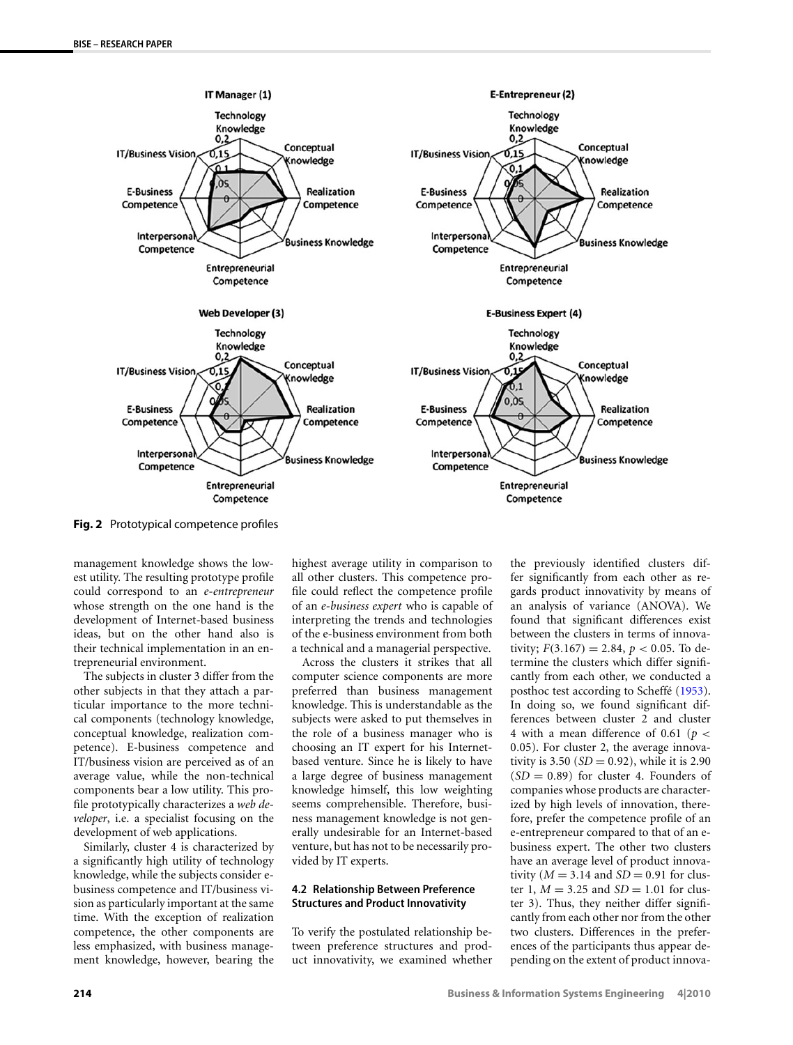<span id="page-5-0"></span>

**Fig. 2** Prototypical competence profiles

management knowledge shows the lowest utility. The resulting prototype profile could correspond to an *e-entrepreneur* whose strength on the one hand is the development of Internet-based business ideas, but on the other hand also is their technical implementation in an entrepreneurial environment.

The subjects in cluster 3 differ from the other subjects in that they attach a particular importance to the more technical components (technology knowledge, conceptual knowledge, realization competence). E-business competence and IT/business vision are perceived as of an average value, while the non-technical components bear a low utility. This profile prototypically characterizes a *web developer*, i.e. a specialist focusing on the development of web applications.

Similarly, cluster 4 is characterized by a significantly high utility of technology knowledge, while the subjects consider ebusiness competence and IT/business vision as particularly important at the same time. With the exception of realization competence, the other components are less emphasized, with business management knowledge, however, bearing the highest average utility in comparison to all other clusters. This competence profile could reflect the competence profile of an *e-business expert* who is capable of interpreting the trends and technologies of the e-business environment from both a technical and a managerial perspective.

Across the clusters it strikes that all computer science components are more preferred than business management knowledge. This is understandable as the subjects were asked to put themselves in the role of a business manager who is choosing an IT expert for his Internetbased venture. Since he is likely to have a large degree of business management knowledge himself, this low weighting seems comprehensible. Therefore, business management knowledge is not generally undesirable for an Internet-based venture, but has not to be necessarily provided by IT experts.

#### **4.2 Relationship Between Preference Structures and Product Innovativity**

To verify the postulated relationship between preference structures and product innovativity, we examined whether

the previously identified clusters differ significantly from each other as regards product innovativity by means of an analysis of variance (ANOVA). We found that significant differences exist between the clusters in terms of innovativity;  $F(3.167) = 2.84$ ,  $p < 0.05$ . To determine the clusters which differ significantly from each other, we conducted a posthoc test according to Scheffé [\(1953](#page-7-0)). In doing so, we found significant differences between cluster 2 and cluster 4 with a mean difference of 0.61 (*p <* 0*.*05). For cluster 2, the average innovativity is 3.50 ( $SD = 0.92$ ), while it is 2.90  $(SD = 0.89)$  for cluster 4. Founders of companies whose products are characterized by high levels of innovation, therefore, prefer the competence profile of an e-entrepreneur compared to that of an ebusiness expert. The other two clusters have an average level of product innovativity ( $M = 3.14$  and  $SD = 0.91$  for cluster 1,  $M = 3.25$  and  $SD = 1.01$  for cluster 3). Thus, they neither differ significantly from each other nor from the other two clusters. Differences in the preferences of the participants thus appear depending on the extent of product innova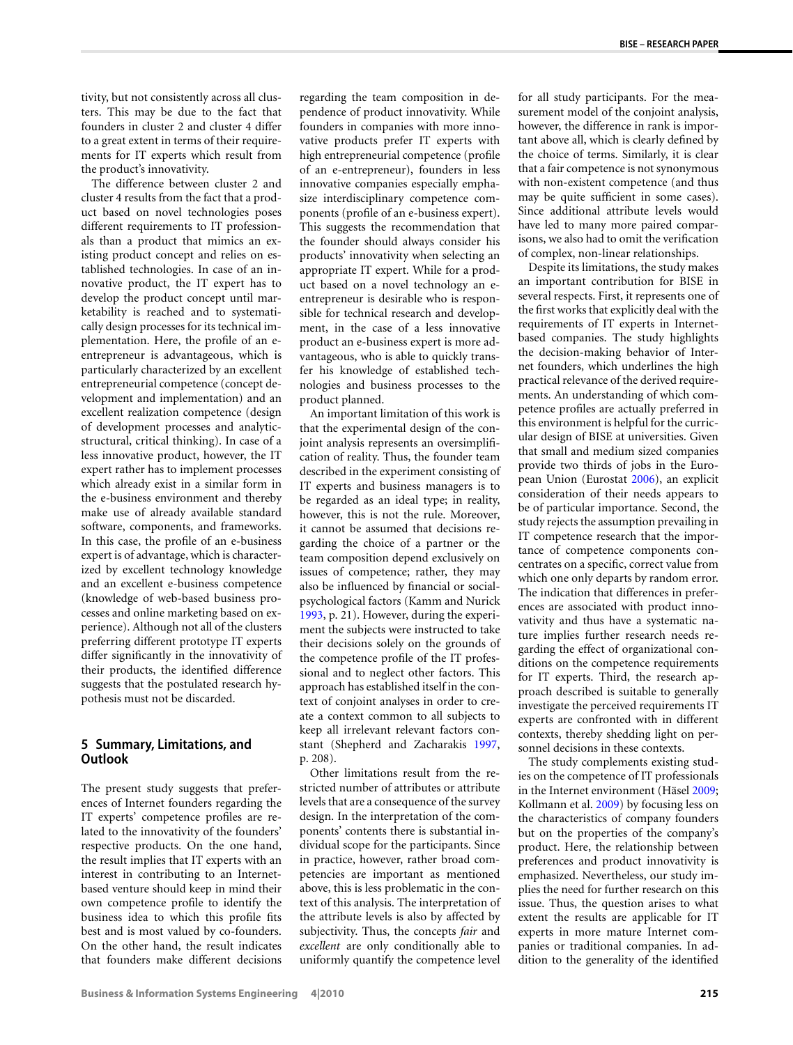<span id="page-6-0"></span>tivity, but not consistently across all clusters. This may be due to the fact that founders in cluster 2 and cluster 4 differ to a great extent in terms of their requirements for IT experts which result from the product's innovativity.

The difference between cluster 2 and cluster 4 results from the fact that a product based on novel technologies poses different requirements to IT professionals than a product that mimics an existing product concept and relies on established technologies. In case of an innovative product, the IT expert has to develop the product concept until marketability is reached and to systematically design processes for its technical implementation. Here, the profile of an eentrepreneur is advantageous, which is particularly characterized by an excellent entrepreneurial competence (concept development and implementation) and an excellent realization competence (design of development processes and analyticstructural, critical thinking). In case of a less innovative product, however, the IT expert rather has to implement processes which already exist in a similar form in the e-business environment and thereby make use of already available standard software, components, and frameworks. In this case, the profile of an e-business expert is of advantage, which is characterized by excellent technology knowledge and an excellent e-business competence (knowledge of web-based business processes and online marketing based on experience). Although not all of the clusters preferring different prototype IT experts differ significantly in the innovativity of their products, the identified difference suggests that the postulated research hypothesis must not be discarded.

### **5 Summary, Limitations, and Outlook**

The present study suggests that preferences of Internet founders regarding the IT experts' competence profiles are related to the innovativity of the founders' respective products. On the one hand, the result implies that IT experts with an interest in contributing to an Internetbased venture should keep in mind their own competence profile to identify the business idea to which this profile fits best and is most valued by co-founders. On the other hand, the result indicates that founders make different decisions regarding the team composition in dependence of product innovativity. While founders in companies with more innovative products prefer IT experts with high entrepreneurial competence (profile of an e-entrepreneur), founders in less innovative companies especially emphasize interdisciplinary competence components (profile of an e-business expert). This suggests the recommendation that the founder should always consider his products' innovativity when selecting an appropriate IT expert. While for a product based on a novel technology an eentrepreneur is desirable who is responsible for technical research and development, in the case of a less innovative product an e-business expert is more advantageous, who is able to quickly transfer his knowledge of established technologies and business processes to the product planned.

An important limitation of this work is that the experimental design of the conjoint analysis represents an oversimplification of reality. Thus, the founder team described in the experiment consisting of IT experts and business managers is to be regarded as an ideal type; in reality, however, this is not the rule. Moreover, it cannot be assumed that decisions regarding the choice of a partner or the team composition depend exclusively on issues of competence; rather, they may also be influenced by financial or socialpsychological factors (Kamm and Nurick [1993](#page-7-0), p. 21). However, during the experiment the subjects were instructed to take their decisions solely on the grounds of the competence profile of the IT professional and to neglect other factors. This approach has established itself in the context of conjoint analyses in order to create a context common to all subjects to keep all irrelevant relevant factors constant (Shepherd and Zacharakis [1997,](#page-8-0) p. 208).

Other limitations result from the restricted number of attributes or attribute levels that are a consequence of the survey design. In the interpretation of the components' contents there is substantial individual scope for the participants. Since in practice, however, rather broad competencies are important as mentioned above, this is less problematic in the context of this analysis. The interpretation of the attribute levels is also by affected by subjectivity. Thus, the concepts *fair* and *excellent* are only conditionally able to uniformly quantify the competence level

for all study participants. For the measurement model of the conjoint analysis, however, the difference in rank is important above all, which is clearly defined by the choice of terms. Similarly, it is clear that a fair competence is not synonymous with non-existent competence (and thus may be quite sufficient in some cases). Since additional attribute levels would have led to many more paired comparisons, we also had to omit the verification of complex, non-linear relationships.

Despite its limitations, the study makes an important contribution for BISE in several respects. First, it represents one of the first works that explicitly deal with the requirements of IT experts in Internetbased companies. The study highlights the decision-making behavior of Internet founders, which underlines the high practical relevance of the derived requirements. An understanding of which competence profiles are actually preferred in this environment is helpful for the curricular design of BISE at universities. Given that small and medium sized companies provide two thirds of jobs in the European Union (Eurostat [2006\)](#page-7-0), an explicit consideration of their needs appears to be of particular importance. Second, the study rejects the assumption prevailing in IT competence research that the importance of competence components concentrates on a specific, correct value from which one only departs by random error. The indication that differences in preferences are associated with product innovativity and thus have a systematic nature implies further research needs regarding the effect of organizational conditions on the competence requirements for IT experts. Third, the research approach described is suitable to generally investigate the perceived requirements IT experts are confronted with in different contexts, thereby shedding light on personnel decisions in these contexts.

The study complements existing studies on the competence of IT professionals in the Internet environment (Häsel [2009;](#page-7-0) Kollmann et al. [2009](#page-7-0)) by focusing less on the characteristics of company founders but on the properties of the company's product. Here, the relationship between preferences and product innovativity is emphasized. Nevertheless, our study implies the need for further research on this issue. Thus, the question arises to what extent the results are applicable for IT experts in more mature Internet companies or traditional companies. In addition to the generality of the identified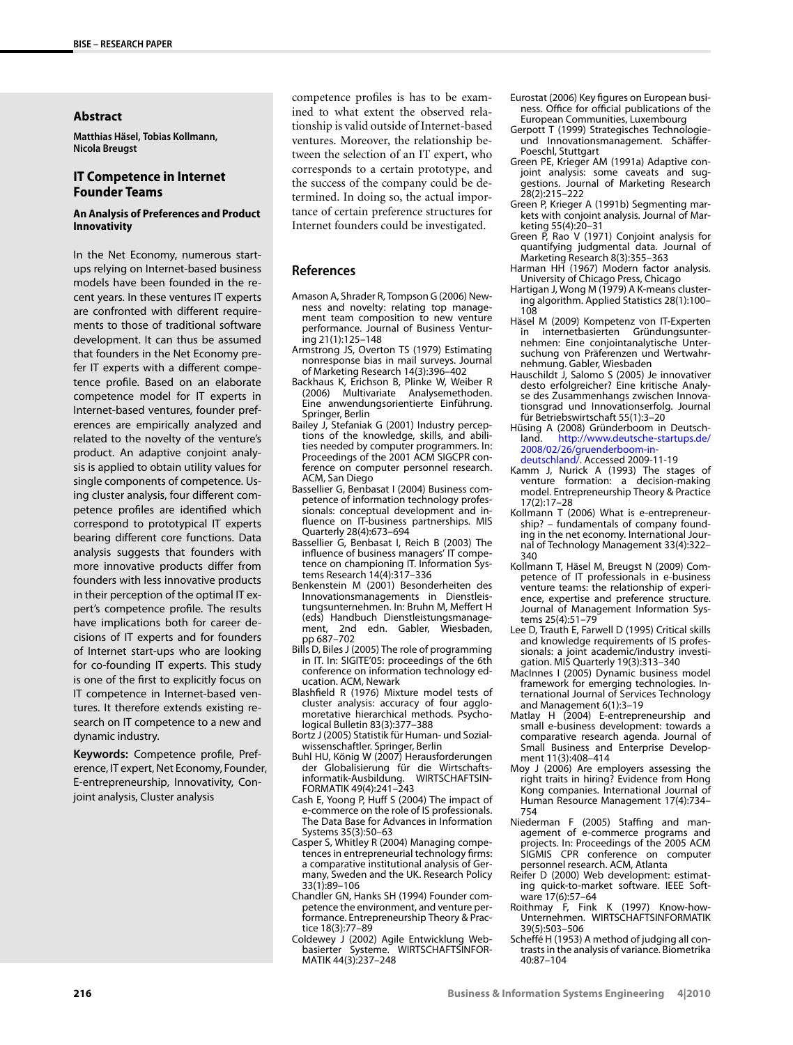#### <span id="page-7-0"></span>**Abstract**

**Matthias Häsel, Tobias Kollmann, Nicola Breugst**

#### **IT Competence in Internet Founder Teams**

#### **An Analysis of Preferences and Product Innovativity**

In the Net Economy, numerous startups relying on Internet-based business models have been founded in the recent years. In these ventures IT experts are confronted with different requirements to those of traditional software development. It can thus be assumed that founders in the Net Economy prefer IT experts with a different competence profile. Based on an elaborate competence model for IT experts in Internet-based ventures, founder preferences are empirically analyzed and related to the novelty of the venture's product. An adaptive conjoint analysis is applied to obtain utility values for single components of competence. Using cluster analysis, four different competence profiles are identified which correspond to prototypical IT experts bearing different core functions. Data analysis suggests that founders with more innovative products differ from founders with less innovative products in their perception of the optimal IT expert's competence profile. The results have implications both for career decisions of IT experts and for founders of Internet start-ups who are looking for co-founding IT experts. This study is one of the first to explicitly focus on IT competence in Internet-based ventures. It therefore extends existing research on IT competence to a new and dynamic industry.

**Keywords:** Competence profile, Preference, IT expert, Net Economy, Founder, E-entrepreneurship, Innovativity, Conjoint analysis, Cluster analysis

competence profiles is has to be examined to what extent the observed relationship is valid outside of Internet-based ventures. Moreover, the relationship between the selection of an IT expert, who corresponds to a certain prototype, and the success of the company could be determined. In doing so, the actual importance of certain preference structures for Internet founders could be investigated.

#### **References**

- Amason A, Shrader R, Tompson G (2006) Newness and novelty: relating top management team composition to new venture performance. Journal of Business Ventur $in \sigma$  21(1) $\cdot$ 125–148
- Armstrong JS, Overton TS (1979) Estimating nonresponse bias in mail surveys. Journal of Marketing Research 14(3):396–402
- Backhaus K, Erichson B, Plinke W, Weiber R (2006) Multivariate Analysemethoden. Eine anwendungsorientierte Einführung. Springer, Berlin
- Bailey J, Stefaniak G (2001) Industry perceptions of the knowledge, skills, and abilities needed by computer programmers. In: Proceedings of the 2001 ACM SIGCPR conference on computer personnel research. ACM, San Diego
- Bassellier G, Benbasat I (2004) Business competence of information technology professionals: conceptual development and influence on IT-business partnerships. MIS Quarterly 28(4):673–694
- Bassellier G, Benbasat I, Reich B (2003) The influence of business managers' IT competence on championing IT. Information Systems Research 14(4):317–336
- Benkenstein M (2001) Besonderheiten des Innovationsmanagements in Dienstleistungsunternehmen. In: Bruhn M, Meffert H (eds) Handbuch Dienstleistungsmanagement, 2nd edn. Gabler, Wiesbaden, pp 687–702
- Bills D, Biles J (2005) The role of programming in IT. In: SIGITE'05: proceedings of the 6th conference on information technology education. ACM, Newark
- Blashfield R (1976) Mixture model tests of cluster analysis: accuracy of four agglomoretative hierarchical methods. Psychological Bulletin 83(3):377–388
- Bortz J (2005) Statistik für Human- und Sozialwissenschaftler. Springer, Berlin
- Buhl HU, König W (2007) Herausforderungen der Globalisierung für die Wirtschaftsinformatik-Ausbildung. WIRTSCHAFTSIN-FORMATIK 49(4):241–243
- Cash E, Yoong P, Huff S (2004) The impact of e-commerce on the role of IS professionals. The Data Base for Advances in Information Systems 35(3):50–63
- Casper S, Whitley R (2004) Managing competences in entrepreneurial technology firms: a comparative institutional analysis of Germany, Sweden and the UK. Research Policy 33(1):89–106
- Chandler GN, Hanks SH (1994) Founder competence the environment, and venture performance. Entrepreneurship Theory & Practice 18(3):77–89
- Coldewey J (2002) Agile Entwicklung Webbasierter Systeme. WIRTSCHAFTSINFOR-MATIK 44(3):237–248
- Eurostat (2006) Key figures on European business. Office for official publications of the European Communities, Luxembourg
- Gerpott T (1999) Strategisches Technologieund Innovationsmanagement. Schäffer-Poeschl, Stuttgart
- Green PE, Krieger AM (1991a) Adaptive conjoint analysis: some caveats and suggestions. Journal of Marketing Research 28(2):215–222
- Green P, Krieger A (1991b) Segmenting markets with conjoint analysis. Journal of Marketing 55(4):20–31
- Green P, Rao V (1971) Conjoint analysis for quantifying judgmental data. Journal of Marketing Research 8(3):355–363
- Harman HH (1967) Modern factor analysis. University of Chicago Press, Chicago
- Hartigan J, Wong M (1979) A K-means clustering algorithm. Applied Statistics 28(1):100– 108
- Häsel M (2009) Kompetenz von IT-Experten in internetbasierten Gründungsunternehmen: Eine conjointanalytische Untersuchung von Präferenzen und Wertwahrnehmung. Gabler, Wiesbaden
- Hauschildt J, Salomo S (2005) Je innovativer desto erfolgreicher? Eine kritische Analyse des Zusammenhangs zwischen Innovationsgrad und Innovationserfolg. Journal für Betriebswirtschaft 55(1):3–20
- Hüsing A (2008) Gründerboom in Deutschland. [http://www.deutsche-startups.de/](http://www.deutsche-startups.de/2008/02/26/gruenderboom-in-deutschland/) [2008/02/26/gruenderboom-in](http://www.deutsche-startups.de/2008/02/26/gruenderboom-in-deutschland/)[deutschland/.](http://www.deutsche-startups.de/2008/02/26/gruenderboom-in-deutschland/) Accessed 2009-11-19
- Kamm J, Nurick A (1993) The stages of venture formation: a decision-making model. Entrepreneurship Theory & Practice 17(2):17–28
- Kollmann T (2006) What is e-entrepreneurship? – fundamentals of company founding in the net economy. International Journal of Technology Management 33(4):322– 340
- Kollmann T, Häsel M, Breugst N (2009) Competence of IT professionals in e-business venture teams: the relationship of experience, expertise and preference structure. Journal of Management Information Systems 25(4):51–79
- Lee D, Trauth E, Farwell D (1995) Critical skills and knowledge requirements of IS professionals: a joint academic/industry investigation. MIS Quarterly 19(3):313–340
- MacInnes I (2005) Dynamic business model framework for emerging technologies. International Journal of Services Technology and Management 6(1):3–19
- Matlay H (2004) E-entrepreneurship and small e-business development: towards a comparative research agenda. Journal of Small Business and Enterprise Development 11(3):408–414
- Moy J (2006) Are employers assessing the right traits in hiring? Evidence from Hong Kong companies. International Journal of Human Resource Management 17(4):734– 754
- Niederman F (2005) Staffing and management of e-commerce programs and projects. In: Proceedings of the 2005 ACM SIGMIS CPR conference on computer personnel research. ACM, Atlanta
- Reifer D (2000) Web development: estimating quick-to-market software. IEEE Software 17(6):57–64
- Roithmay F, Fink K (1997) Know-how-Unternehmen. WIRTSCHAFTSINFORMATIK 39(5):503–506
- Scheffé H (1953) A method of judging all contrasts in the analysis of variance. Biometrika 40:87–104